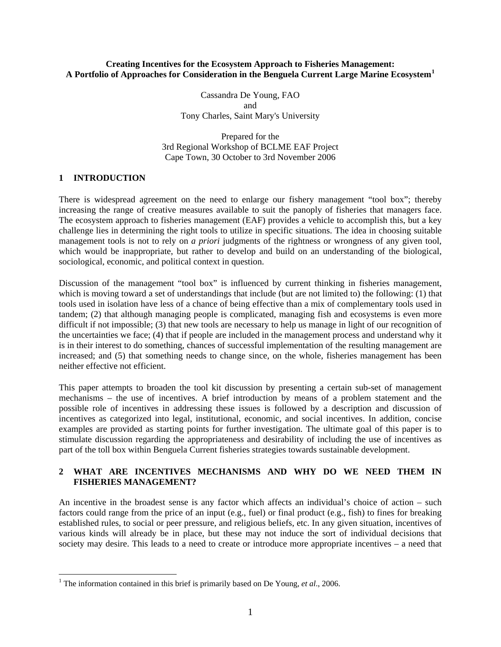### **Creating Incentives for the Ecosystem Approach to Fisheries Management: A Portfolio of Approaches for Consideration in the Benguela Current Large Marine Ecosystem[1](#page-0-0)**

Cassandra De Young, FAO and Tony Charles, Saint Mary's University

Prepared for the 3rd Regional Workshop of BCLME EAF Project Cape Town, 30 October to 3rd November 2006

# **1 INTRODUCTION**

 $\overline{a}$ 

There is widespread agreement on the need to enlarge our fishery management "tool box"; thereby increasing the range of creative measures available to suit the panoply of fisheries that managers face. The ecosystem approach to fisheries management (EAF) provides a vehicle to accomplish this, but a key challenge lies in determining the right tools to utilize in specific situations. The idea in choosing suitable management tools is not to rely on *a priori* judgments of the rightness or wrongness of any given tool, which would be inappropriate, but rather to develop and build on an understanding of the biological, sociological, economic, and political context in question.

Discussion of the management "tool box" is influenced by current thinking in fisheries management, which is moving toward a set of understandings that include (but are not limited to) the following: (1) that tools used in isolation have less of a chance of being effective than a mix of complementary tools used in tandem; (2) that although managing people is complicated, managing fish and ecosystems is even more difficult if not impossible; (3) that new tools are necessary to help us manage in light of our recognition of the uncertainties we face; (4) that if people are included in the management process and understand why it is in their interest to do something, chances of successful implementation of the resulting management are increased; and (5) that something needs to change since, on the whole, fisheries management has been neither effective not efficient.

This paper attempts to broaden the tool kit discussion by presenting a certain sub-set of management mechanisms – the use of incentives. A brief introduction by means of a problem statement and the possible role of incentives in addressing these issues is followed by a description and discussion of incentives as categorized into legal, institutional, economic, and social incentives. In addition, concise examples are provided as starting points for further investigation. The ultimate goal of this paper is to stimulate discussion regarding the appropriateness and desirability of including the use of incentives as part of the toll box within Benguela Current fisheries strategies towards sustainable development.

## **2 WHAT ARE INCENTIVES MECHANISMS AND WHY DO WE NEED THEM IN FISHERIES MANAGEMENT?**

An incentive in the broadest sense is any factor which affects an individual's choice of action – such factors could range from the price of an input (e.g., fuel) or final product (e.g., fish) to fines for breaking established rules, to social or peer pressure, and religious beliefs, etc. In any given situation, incentives of various kinds will already be in place, but these may not induce the sort of individual decisions that society may desire. This leads to a need to create or introduce more appropriate incentives – a need that

<span id="page-0-0"></span><sup>&</sup>lt;sup>1</sup> The information contained in this brief is primarily based on De Young, *et al.*, 2006.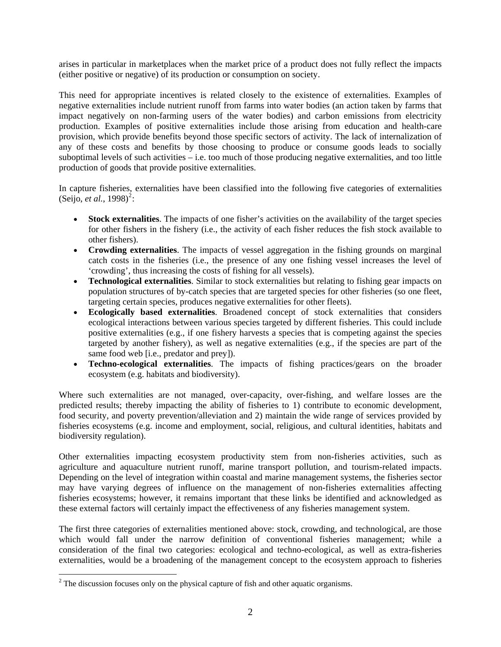arises in particular in marketplaces when the market price of a product does not fully reflect the impacts (either positive or negative) of its production or consumption on society.

This need for appropriate incentives is related closely to the existence of externalities. Examples of negative externalities include nutrient runoff from farms into water bodies (an action taken by farms that impact negatively on non-farming users of the water bodies) and carbon emissions from electricity production. Examples of positive externalities include those arising from education and health-care provision, which provide benefits beyond those specific sectors of activity. The lack of internalization of any of these costs and benefits by those choosing to produce or consume goods leads to socially suboptimal levels of such activities – i.e. too much of those producing negative externalities, and too little production of goods that provide positive externalities.

In capture fisheries, externalities have been classified into the following five categories of externalities  $(Seijo, et al., 1998)^2$  $(Seijo, et al., 1998)^2$ :

- **Stock externalities**. The impacts of one fisher's activities on the availability of the target species for other fishers in the fishery (i.e., the activity of each fisher reduces the fish stock available to other fishers).
- **Crowding externalities**. The impacts of vessel aggregation in the fishing grounds on marginal catch costs in the fisheries (i.e., the presence of any one fishing vessel increases the level of 'crowding', thus increasing the costs of fishing for all vessels).
- **Technological externalities**. Similar to stock externalities but relating to fishing gear impacts on population structures of by-catch species that are targeted species for other fisheries (so one fleet, targeting certain species, produces negative externalities for other fleets).
- **Ecologically based externalities**. Broadened concept of stock externalities that considers ecological interactions between various species targeted by different fisheries. This could include positive externalities (e.g., if one fishery harvests a species that is competing against the species targeted by another fishery), as well as negative externalities (e.g., if the species are part of the same food web [i.e., predator and prey]).
- **Techno-ecological externalities**. The impacts of fishing practices/gears on the broader ecosystem (e.g. habitats and biodiversity).

Where such externalities are not managed, over-capacity, over-fishing, and welfare losses are the predicted results; thereby impacting the ability of fisheries to 1) contribute to economic development, food security, and poverty prevention/alleviation and 2) maintain the wide range of services provided by fisheries ecosystems (e.g. income and employment, social, religious, and cultural identities, habitats and biodiversity regulation).

Other externalities impacting ecosystem productivity stem from non-fisheries activities, such as agriculture and aquaculture nutrient runoff, marine transport pollution, and tourism-related impacts. Depending on the level of integration within coastal and marine management systems, the fisheries sector may have varying degrees of influence on the management of non-fisheries externalities affecting fisheries ecosystems; however, it remains important that these links be identified and acknowledged as these external factors will certainly impact the effectiveness of any fisheries management system.

The first three categories of externalities mentioned above: stock, crowding, and technological, are those which would fall under the narrow definition of conventional fisheries management; while a consideration of the final two categories: ecological and techno-ecological, as well as extra-fisheries externalities, would be a broadening of the management concept to the ecosystem approach to fisheries

<span id="page-1-0"></span><sup>&</sup>lt;sup>2</sup> The discussion focuses only on the physical capture of fish and other aquatic organisms.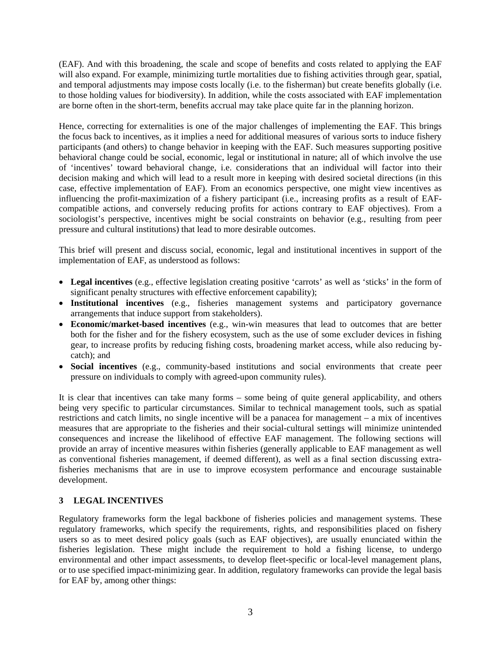(EAF). And with this broadening, the scale and scope of benefits and costs related to applying the EAF will also expand. For example, minimizing turtle mortalities due to fishing activities through gear, spatial, and temporal adjustments may impose costs locally (i.e. to the fisherman) but create benefits globally (i.e. to those holding values for biodiversity). In addition, while the costs associated with EAF implementation are borne often in the short-term, benefits accrual may take place quite far in the planning horizon.

Hence, correcting for externalities is one of the major challenges of implementing the EAF. This brings the focus back to incentives, as it implies a need for additional measures of various sorts to induce fishery participants (and others) to change behavior in keeping with the EAF. Such measures supporting positive behavioral change could be social, economic, legal or institutional in nature; all of which involve the use of 'incentives' toward behavioral change, i.e. considerations that an individual will factor into their decision making and which will lead to a result more in keeping with desired societal directions (in this case, effective implementation of EAF). From an economics perspective, one might view incentives as influencing the profit-maximization of a fishery participant (i.e., increasing profits as a result of EAFcompatible actions, and conversely reducing profits for actions contrary to EAF objectives). From a sociologist's perspective, incentives might be social constraints on behavior (e.g., resulting from peer pressure and cultural institutions) that lead to more desirable outcomes.

This brief will present and discuss social, economic, legal and institutional incentives in support of the implementation of EAF, as understood as follows:

- **Legal incentives** (e.g., effective legislation creating positive 'carrots' as well as 'sticks' in the form of significant penalty structures with effective enforcement capability);
- **Institutional incentives** (e.g., fisheries management systems and participatory governance arrangements that induce support from stakeholders).
- **Economic/market-based incentives** (e.g., win-win measures that lead to outcomes that are better both for the fisher and for the fishery ecosystem, such as the use of some excluder devices in fishing gear, to increase profits by reducing fishing costs, broadening market access, while also reducing bycatch); and
- **Social incentives** (e.g., community-based institutions and social environments that create peer pressure on individuals to comply with agreed-upon community rules).

It is clear that incentives can take many forms – some being of quite general applicability, and others being very specific to particular circumstances. Similar to technical management tools, such as spatial restrictions and catch limits, no single incentive will be a panacea for management – a mix of incentives measures that are appropriate to the fisheries and their social-cultural settings will minimize unintended consequences and increase the likelihood of effective EAF management. The following sections will provide an array of incentive measures within fisheries (generally applicable to EAF management as well as conventional fisheries management, if deemed different), as well as a final section discussing extrafisheries mechanisms that are in use to improve ecosystem performance and encourage sustainable development.

# **3 LEGAL INCENTIVES**

Regulatory frameworks form the legal backbone of fisheries policies and management systems. These regulatory frameworks, which specify the requirements, rights, and responsibilities placed on fishery users so as to meet desired policy goals (such as EAF objectives), are usually enunciated within the fisheries legislation. These might include the requirement to hold a fishing license, to undergo environmental and other impact assessments, to develop fleet-specific or local-level management plans, or to use specified impact-minimizing gear. In addition, regulatory frameworks can provide the legal basis for EAF by, among other things: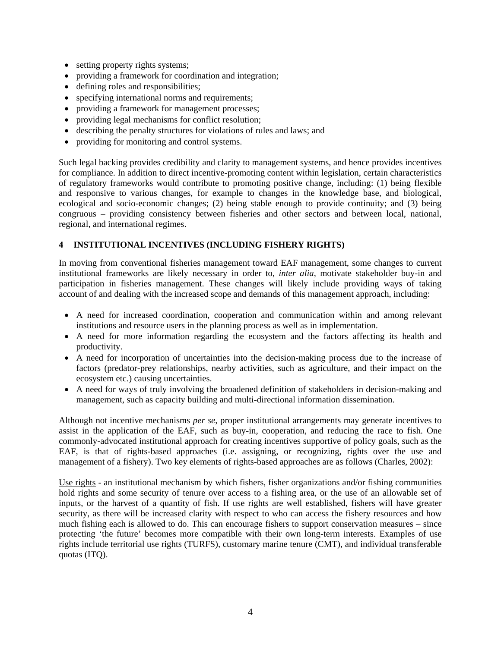- setting property rights systems;
- providing a framework for coordination and integration;
- defining roles and responsibilities:
- specifying international norms and requirements;
- providing a framework for management processes;
- providing legal mechanisms for conflict resolution;
- describing the penalty structures for violations of rules and laws; and
- providing for monitoring and control systems.

Such legal backing provides credibility and clarity to management systems, and hence provides incentives for compliance. In addition to direct incentive-promoting content within legislation, certain characteristics of regulatory frameworks would contribute to promoting positive change, including: (1) being flexible and responsive to various changes, for example to changes in the knowledge base, and biological, ecological and socio-economic changes; (2) being stable enough to provide continuity; and (3) being congruous – providing consistency between fisheries and other sectors and between local, national, regional, and international regimes.

## **4 INSTITUTIONAL INCENTIVES (INCLUDING FISHERY RIGHTS)**

In moving from conventional fisheries management toward EAF management, some changes to current institutional frameworks are likely necessary in order to, *inter alia*, motivate stakeholder buy-in and participation in fisheries management. These changes will likely include providing ways of taking account of and dealing with the increased scope and demands of this management approach, including:

- A need for increased coordination, cooperation and communication within and among relevant institutions and resource users in the planning process as well as in implementation.
- A need for more information regarding the ecosystem and the factors affecting its health and productivity.
- A need for incorporation of uncertainties into the decision-making process due to the increase of factors (predator-prey relationships, nearby activities, such as agriculture, and their impact on the ecosystem etc.) causing uncertainties.
- A need for ways of truly involving the broadened definition of stakeholders in decision-making and management, such as capacity building and multi-directional information dissemination.

Although not incentive mechanisms *per se*, proper institutional arrangements may generate incentives to assist in the application of the EAF, such as buy-in, cooperation, and reducing the race to fish. One commonly-advocated institutional approach for creating incentives supportive of policy goals, such as the EAF, is that of rights-based approaches (i.e. assigning, or recognizing, rights over the use and management of a fishery). Two key elements of rights-based approaches are as follows (Charles, 2002):

Use rights - an institutional mechanism by which fishers, fisher organizations and/or fishing communities hold rights and some security of tenure over access to a fishing area, or the use of an allowable set of inputs, or the harvest of a quantity of fish. If use rights are well established, fishers will have greater security, as there will be increased clarity with respect to who can access the fishery resources and how much fishing each is allowed to do. This can encourage fishers to support conservation measures – since protecting 'the future' becomes more compatible with their own long-term interests. Examples of use rights include territorial use rights (TURFS), customary marine tenure (CMT), and individual transferable quotas (ITQ).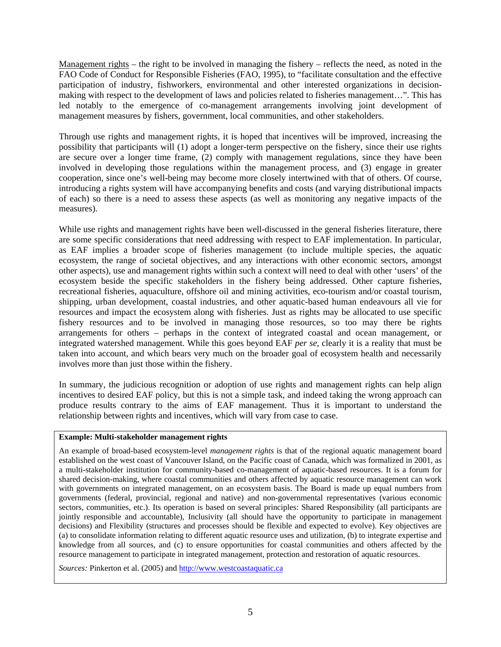Management rights – the right to be involved in managing the fishery – reflects the need, as noted in the FAO Code of Conduct for Responsible Fisheries (FAO, 1995), to "facilitate consultation and the effective participation of industry, fishworkers, environmental and other interested organizations in decisionmaking with respect to the development of laws and policies related to fisheries management…". This has led notably to the emergence of co-management arrangements involving joint development of management measures by fishers, government, local communities, and other stakeholders.

Through use rights and management rights, it is hoped that incentives will be improved, increasing the possibility that participants will (1) adopt a longer-term perspective on the fishery, since their use rights are secure over a longer time frame, (2) comply with management regulations, since they have been involved in developing those regulations within the management process, and (3) engage in greater cooperation, since one's well-being may become more closely intertwined with that of others. Of course, introducing a rights system will have accompanying benefits and costs (and varying distributional impacts of each) so there is a need to assess these aspects (as well as monitoring any negative impacts of the measures).

While use rights and management rights have been well-discussed in the general fisheries literature, there are some specific considerations that need addressing with respect to EAF implementation. In particular, as EAF implies a broader scope of fisheries management (to include multiple species, the aquatic ecosystem, the range of societal objectives, and any interactions with other economic sectors, amongst other aspects), use and management rights within such a context will need to deal with other 'users' of the ecosystem beside the specific stakeholders in the fishery being addressed. Other capture fisheries, recreational fisheries, aquaculture, offshore oil and mining activities, eco-tourism and/or coastal tourism, shipping, urban development, coastal industries, and other aquatic-based human endeavours all vie for resources and impact the ecosystem along with fisheries. Just as rights may be allocated to use specific fishery resources and to be involved in managing those resources, so too may there be rights arrangements for others – perhaps in the context of integrated coastal and ocean management, or integrated watershed management. While this goes beyond EAF *per se*, clearly it is a reality that must be taken into account, and which bears very much on the broader goal of ecosystem health and necessarily involves more than just those within the fishery.

In summary, the judicious recognition or adoption of use rights and management rights can help align incentives to desired EAF policy, but this is not a simple task, and indeed taking the wrong approach can produce results contrary to the aims of EAF management. Thus it is important to understand the relationship between rights and incentives, which will vary from case to case.

#### **Example: Multi-stakeholder management rights**

An example of broad-based ecosystem-level *management rights* is that of the regional aquatic management board established on the west coast of Vancouver Island, on the Pacific coast of Canada, which was formalized in 2001, as a multi-stakeholder institution for community-based co-management of aquatic-based resources. It is a forum for shared decision-making, where coastal communities and others affected by aquatic resource management can work with governments on integrated management, on an ecosystem basis. The Board is made up equal numbers from governments (federal, provincial, regional and native) and non-governmental representatives (various economic sectors, communities, etc.). Its operation is based on several principles: Shared Responsibility (all participants are jointly responsible and accountable), Inclusivity (all should have the opportunity to participate in management decisions) and Flexibility (structures and processes should be flexible and expected to evolve). Key objectives are (a) to consolidate information relating to different aquatic resource uses and utilization, (b) to integrate expertise and knowledge from all sources, and (c) to ensure opportunities for coastal communities and others affected by the resource management to participate in integrated management, protection and restoration of aquatic resources.

*Sources:* Pinkerton et al. (2005) and [http://www.westcoastaquatic.ca](http://www.westcoastaquatic.ca/)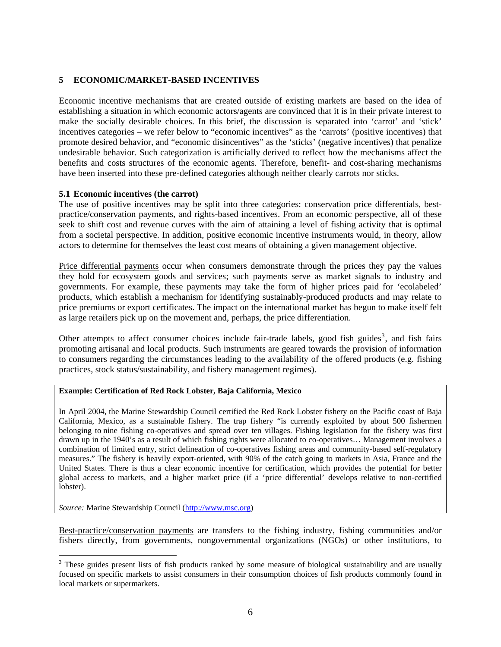## **5 ECONOMIC/MARKET-BASED INCENTIVES**

Economic incentive mechanisms that are created outside of existing markets are based on the idea of establishing a situation in which economic actors/agents are convinced that it is in their private interest to make the socially desirable choices. In this brief, the discussion is separated into 'carrot' and 'stick' incentives categories – we refer below to "economic incentives" as the 'carrots' (positive incentives) that promote desired behavior, and "economic disincentives" as the 'sticks' (negative incentives) that penalize undesirable behavior. Such categorization is artificially derived to reflect how the mechanisms affect the benefits and costs structures of the economic agents. Therefore, benefit- and cost-sharing mechanisms have been inserted into these pre-defined categories although neither clearly carrots nor sticks.

#### **5.1 Economic incentives (the carrot)**

The use of positive incentives may be split into three categories: conservation price differentials, bestpractice/conservation payments, and rights-based incentives. From an economic perspective, all of these seek to shift cost and revenue curves with the aim of attaining a level of fishing activity that is optimal from a societal perspective. In addition, positive economic incentive instruments would, in theory, allow actors to determine for themselves the least cost means of obtaining a given management objective.

Price differential payments occur when consumers demonstrate through the prices they pay the values they hold for ecosystem goods and services; such payments serve as market signals to industry and governments. For example, these payments may take the form of higher prices paid for 'ecolabeled' products, which establish a mechanism for identifying sustainably-produced products and may relate to price premiums or export certificates. The impact on the international market has begun to make itself felt as large retailers pick up on the movement and, perhaps, the price differentiation.

Other attempts to affect consumer choices include fair-trade labels, good fish guides<sup>[3](#page-5-0)</sup>, and fish fairs promoting artisanal and local products. Such instruments are geared towards the provision of information to consumers regarding the circumstances leading to the availability of the offered products (e.g. fishing practices, stock status/sustainability, and fishery management regimes).

## **Example: Certification of Red Rock Lobster, Baja California, Mexico**

In April 2004, the Marine Stewardship Council certified the Red Rock Lobster fishery on the Pacific coast of Baja California, Mexico, as a sustainable fishery. The trap fishery "is currently exploited by about 500 fishermen belonging to nine fishing co-operatives and spread over ten villages. Fishing legislation for the fishery was first drawn up in the 1940's as a result of which fishing rights were allocated to co-operatives… Management involves a combination of limited entry, strict delineation of co-operatives fishing areas and community-based self-regulatory measures." The fishery is heavily export-oriented, with 90% of the catch going to markets in Asia, France and the United States. There is thus a clear economic incentive for certification, which provides the potential for better global access to markets, and a higher market price (if a 'price differential' develops relative to non-certified lobster).

*Source:* Marine Stewardship Council [\(http://www.msc.org](http://www.msc.org/))

 $\overline{a}$ 

Best-practice/conservation payments are transfers to the fishing industry, fishing communities and/or fishers directly, from governments, nongovernmental organizations (NGOs) or other institutions, to

<span id="page-5-0"></span> $3$  These guides present lists of fish products ranked by some measure of biological sustainability and are usually focused on specific markets to assist consumers in their consumption choices of fish products commonly found in local markets or supermarkets.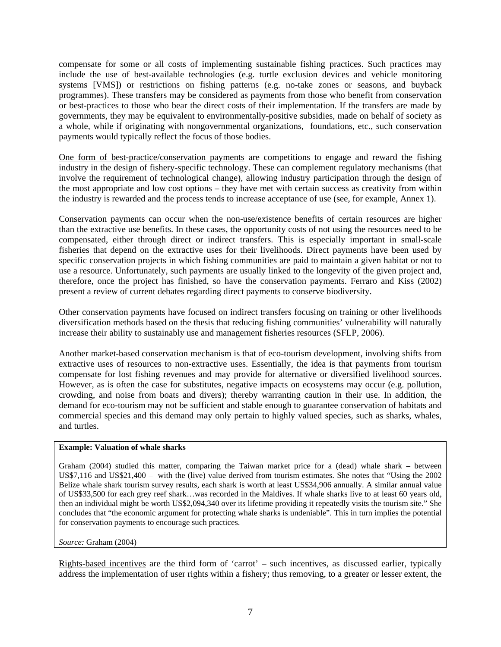compensate for some or all costs of implementing sustainable fishing practices. Such practices may include the use of best-available technologies (e.g. turtle exclusion devices and vehicle monitoring systems [VMS]) or restrictions on fishing patterns (e.g. no-take zones or seasons, and buyback programmes). These transfers may be considered as payments from those who benefit from conservation or best-practices to those who bear the direct costs of their implementation. If the transfers are made by governments, they may be equivalent to environmentally-positive subsidies, made on behalf of society as a whole, while if originating with nongovernmental organizations, foundations, etc., such conservation payments would typically reflect the focus of those bodies.

One form of best-practice/conservation payments are competitions to engage and reward the fishing industry in the design of fishery-specific technology. These can complement regulatory mechanisms (that involve the requirement of technological change), allowing industry participation through the design of the most appropriate and low cost options – they have met with certain success as creativity from within the industry is rewarded and the process tends to increase acceptance of use (see, for example, Annex 1).

Conservation payments can occur when the non-use/existence benefits of certain resources are higher than the extractive use benefits. In these cases, the opportunity costs of not using the resources need to be compensated, either through direct or indirect transfers. This is especially important in small-scale fisheries that depend on the extractive uses for their livelihoods. Direct payments have been used by specific conservation projects in which fishing communities are paid to maintain a given habitat or not to use a resource. Unfortunately, such payments are usually linked to the longevity of the given project and, therefore, once the project has finished, so have the conservation payments. Ferraro and Kiss (2002) present a review of current debates regarding direct payments to conserve biodiversity.

Other conservation payments have focused on indirect transfers focusing on training or other livelihoods diversification methods based on the thesis that reducing fishing communities' vulnerability will naturally increase their ability to sustainably use and management fisheries resources (SFLP, 2006).

Another market-based conservation mechanism is that of eco-tourism development, involving shifts from extractive uses of resources to non-extractive uses. Essentially, the idea is that payments from tourism compensate for lost fishing revenues and may provide for alternative or diversified livelihood sources. However, as is often the case for substitutes, negative impacts on ecosystems may occur (e.g. pollution, crowding, and noise from boats and divers); thereby warranting caution in their use. In addition, the demand for eco-tourism may not be sufficient and stable enough to guarantee conservation of habitats and commercial species and this demand may only pertain to highly valued species, such as sharks, whales, and turtles.

## **Example: Valuation of whale sharks**

Graham (2004) studied this matter, comparing the Taiwan market price for a (dead) whale shark – between US\$7,116 and US\$21,400 – with the (live) value derived from tourism estimates. She notes that "Using the 2002 Belize whale shark tourism survey results, each shark is worth at least US\$34,906 annually. A similar annual value of US\$33,500 for each grey reef shark…was recorded in the Maldives. If whale sharks live to at least 60 years old, then an individual might be worth US\$2,094,340 over its lifetime providing it repeatedly visits the tourism site." She concludes that "the economic argument for protecting whale sharks is undeniable". This in turn implies the potential for conservation payments to encourage such practices.

*Source:* Graham (2004)

Rights-based incentives are the third form of 'carrot' – such incentives, as discussed earlier, typically address the implementation of user rights within a fishery; thus removing, to a greater or lesser extent, the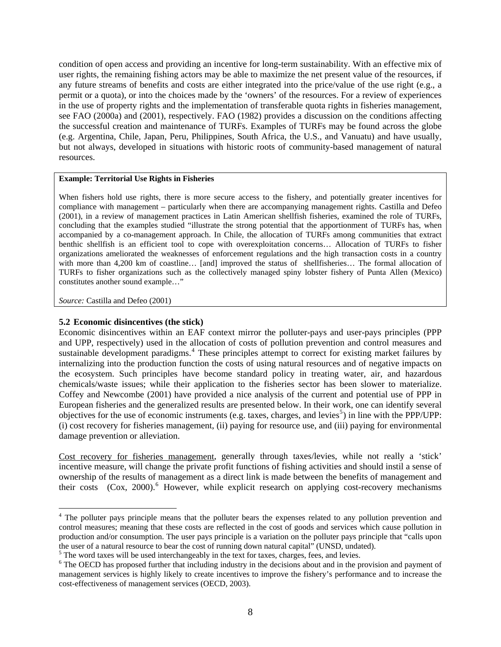condition of open access and providing an incentive for long-term sustainability. With an effective mix of user rights, the remaining fishing actors may be able to maximize the net present value of the resources, if any future streams of benefits and costs are either integrated into the price/value of the use right (e.g., a permit or a quota), or into the choices made by the 'owners' of the resources. For a review of experiences in the use of property rights and the implementation of transferable quota rights in fisheries management, see FAO (2000a) and (2001), respectively. FAO (1982) provides a discussion on the conditions affecting the successful creation and maintenance of TURFs. Examples of TURFs may be found across the globe (e.g. Argentina, Chile, Japan, Peru, Philippines, South Africa, the U.S., and Vanuatu) and have usually, but not always, developed in situations with historic roots of community-based management of natural resources.

#### **Example: Territorial Use Rights in Fisheries**

When fishers hold use rights, there is more secure access to the fishery, and potentially greater incentives for compliance with management – particularly when there are accompanying management rights. Castilla and Defeo (2001), in a review of management practices in Latin American shellfish fisheries, examined the role of TURFs, concluding that the examples studied "illustrate the strong potential that the apportionment of TURFs has, when accompanied by a co-management approach. In Chile, the allocation of TURFs among communities that extract benthic shellfish is an efficient tool to cope with overexploitation concerns… Allocation of TURFs to fisher organizations ameliorated the weaknesses of enforcement regulations and the high transaction costs in a country with more than 4,200 km of coastline... [and] improved the status of shellfisheries... The formal allocation of TURFs to fisher organizations such as the collectively managed spiny lobster fishery of Punta Allen (Mexico) constitutes another sound example…"

*Source:* Castilla and Defeo (2001)

 $\overline{a}$ 

#### **5.2 Economic disincentives (the stick)**

Economic disincentives within an EAF context mirror the polluter-pays and user-pays principles (PPP and UPP, respectively) used in the allocation of costs of pollution prevention and control measures and sustainable development paradigms.<sup>[4](#page-7-0)</sup> These principles attempt to correct for existing market failures by internalizing into the production function the costs of using natural resources and of negative impacts on the ecosystem. Such principles have become standard policy in treating water, air, and hazardous chemicals/waste issues; while their application to the fisheries sector has been slower to materialize. Coffey and Newcombe (2001) have provided a nice analysis of the current and potential use of PPP in European fisheries and the generalized results are presented below. In their work, one can identify several objectives for the use of economic instruments (e.g. taxes, charges, and levies<sup>[5](#page-7-1)</sup>) in line with the PPP/UPP: (i) cost recovery for fisheries management, (ii) paying for resource use, and (iii) paying for environmental damage prevention or alleviation.

Cost recovery for fisheries management, generally through taxes/levies, while not really a 'stick' incentive measure, will change the private profit functions of fishing activities and should instil a sense of ownership of the results of management as a direct link is made between the benefits of management and their costs  $(Cox, 2000)$ <sup>[6](#page-7-2)</sup> However, while explicit research on applying cost-recovery mechanisms

<span id="page-7-0"></span><sup>&</sup>lt;sup>4</sup> The polluter pays principle means that the polluter bears the expenses related to any pollution prevention and control measures; meaning that these costs are reflected in the cost of goods and services which cause pollution in production and/or consumption. The user pays principle is a variation on the polluter pays principle that "calls upon the user of a natural resource to bear the cost of running down natural capital" (UNSD, undated).

<span id="page-7-1"></span> $5$  The word taxes will be used interchangeably in the text for taxes, charges, fees, and levies.

<span id="page-7-2"></span><sup>&</sup>lt;sup>6</sup> The OECD has proposed further that including industry in the decisions about and in the provision and payment of management services is highly likely to create incentives to improve the fishery's performance and to increase the cost-effectiveness of management services (OECD, 2003).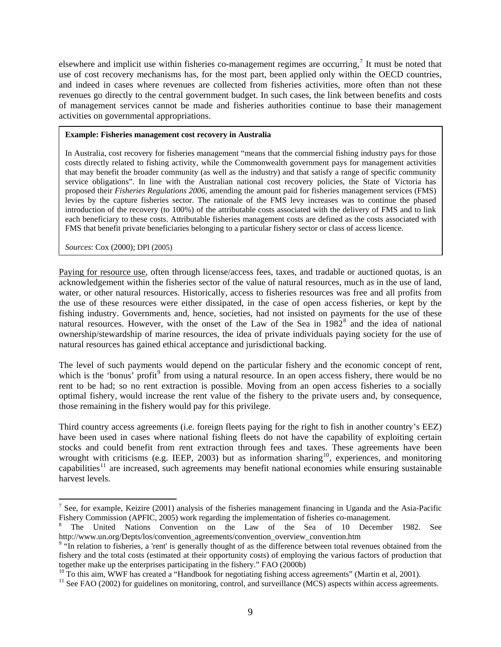elsewhere and implicit use within fisheries co-management regimes are occurring,<sup>[7](#page-8-0)</sup> It must be noted that use of cost recovery mechanisms has, for the most part, been applied only within the OECD countries, and indeed in cases where revenues are collected from fisheries activities, more often than not these revenues go directly to the central government budget. In such cases, the link between benefits and costs of management services cannot be made and fisheries authorities continue to base their management activities on governmental appropriations.

#### **Example: Fisheries management cost recovery in Australia**

In Australia, cost recovery for fisheries management "means that the commercial fishing industry pays for those costs directly related to fishing activity, while the Commonwealth government pays for management activities that may benefit the broader community (as well as the industry) and that satisfy a range of specific community service obligations". In line with the Australian national cost recovery policies, the State of Victoria has proposed their *Fisheries Regulations 2006*, amending the amount paid for fisheries management services (FMS) levies by the capture fisheries sector. The rationale of the FMS levy increases was to continue the phased introduction of the recovery (to 100%) of the attributable costs associated with the delivery of FMS and to link each beneficiary to these costs. Attributable fisheries management costs are defined as the costs associated with FMS that benefit private beneficiaries belonging to a particular fishery sector or class of access licence.

*Sources*: Cox (2000); DPI (2005)

 $\overline{a}$ 

Paying for resource use, often through license/access fees, taxes, and tradable or auctioned quotas, is an acknowledgement within the fisheries sector of the value of natural resources, much as in the use of land, water, or other natural resources. Historically, access to fisheries resources was free and all profits from the use of these resources were either dissipated, in the case of open access fisheries, or kept by the fishing industry. Governments and, hence, societies, had not insisted on payments for the use of these natural resources. However, with the onset of the Law of the Sea in  $1982<sup>8</sup>$  $1982<sup>8</sup>$  $1982<sup>8</sup>$  and the idea of national ownership/stewardship of marine resources, the idea of private individuals paying society for the use of natural resources has gained ethical acceptance and jurisdictional backing.

The level of such payments would depend on the particular fishery and the economic concept of rent, which is the 'bonus' profit<sup>[9](#page-8-2)</sup> from using a natural resource. In an open access fishery, there would be no rent to be had; so no rent extraction is possible. Moving from an open access fisheries to a socially optimal fishery, would increase the rent value of the fishery to the private users and, by consequence, those remaining in the fishery would pay for this privilege.

Third country access agreements (i.e. foreign fleets paying for the right to fish in another country's EEZ) have been used in cases where national fishing fleets do not have the capability of exploiting certain stocks and could benefit from rent extraction through fees and taxes. These agreements have been wrought with criticisms (e.g. IEEP, 2003) but as information sharing<sup>[10](#page-8-3)</sup>, experiences, and monitoring capabilities<sup>[11](#page-8-4)</sup> are increased, such agreements may benefit national economies while ensuring sustainable harvest levels.

<span id="page-8-0"></span><sup>&</sup>lt;sup>7</sup> See, for example, Keizire (2001) analysis of the fisheries management financing in Uganda and the Asia-Pacific Fishery Commission (APFIC, 2005) work regarding the implementation of fisheries co-management. 8

<span id="page-8-1"></span>The United Nations Convention on the Law of the Sea of 10 December 1982. See http://www.un.org/Depts/los/convention\_agreements/convention\_overview\_convention.htm

<span id="page-8-2"></span><sup>&</sup>lt;sup>9</sup> "In relation to fisheries, a 'rent' is generally thought of as the difference between total revenues obtained from the fishery and the total costs (estimated at their opportunity costs) of employing the various factors of production that together make up the enterprises participating in the fishery." FAO (2000b)

<span id="page-8-4"></span><span id="page-8-3"></span><sup>&</sup>lt;sup>10</sup> To this aim, WWF has created a "Handbook for negotiating fishing access agreements" (Martin et al, 2001).<br><sup>11</sup> See FAO (2002) for guidelines on monitoring, control, and surveillance (MCS) aspects within access agreeme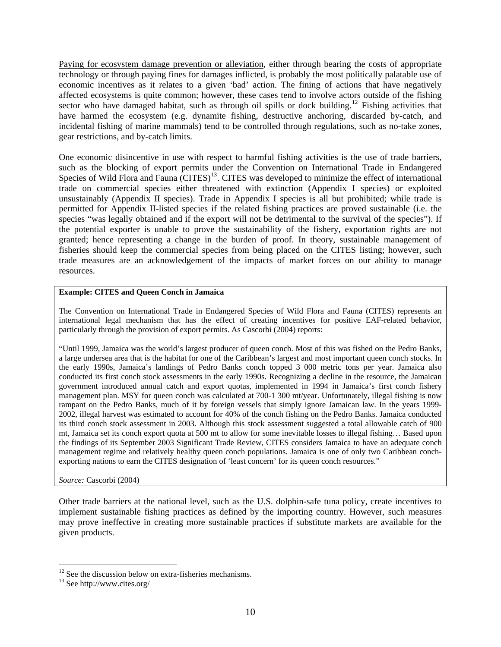Paying for ecosystem damage prevention or alleviation, either through bearing the costs of appropriate technology or through paying fines for damages inflicted, is probably the most politically palatable use of economic incentives as it relates to a given 'bad' action. The fining of actions that have negatively affected ecosystems is quite common; however, these cases tend to involve actors outside of the fishing sector who have damaged habitat, such as through oil spills or dock building.<sup>[12](#page-9-0)</sup> Fishing activities that have harmed the ecosystem (e.g. dynamite fishing, destructive anchoring, discarded by-catch, and incidental fishing of marine mammals) tend to be controlled through regulations, such as no-take zones, gear restrictions, and by-catch limits.

One economic disincentive in use with respect to harmful fishing activities is the use of trade barriers, such as the blocking of export permits under the Convention on International Trade in Endangered Species of Wild Flora and Fauna (CITES)<sup>[13](#page-9-1)</sup>. CITES was developed to minimize the effect of international trade on commercial species either threatened with extinction (Appendix I species) or exploited unsustainably (Appendix II species). Trade in Appendix I species is all but prohibited; while trade is permitted for Appendix II-listed species if the related fishing practices are proved sustainable (i.e. the species "was legally obtained and if the export will not be detrimental to the survival of the species"). If the potential exporter is unable to prove the sustainability of the fishery, exportation rights are not granted; hence representing a change in the burden of proof. In theory, sustainable management of fisheries should keep the commercial species from being placed on the CITES listing; however, such trade measures are an acknowledgement of the impacts of market forces on our ability to manage resources.

## **Example: CITES and Queen Conch in Jamaica**

The Convention on International Trade in Endangered Species of Wild Flora and Fauna (CITES) represents an international legal mechanism that has the effect of creating incentives for positive EAF-related behavior, particularly through the provision of export permits. As Cascorbi (2004) reports:

"Until 1999, Jamaica was the world's largest producer of queen conch. Most of this was fished on the Pedro Banks, a large undersea area that is the habitat for one of the Caribbean's largest and most important queen conch stocks. In the early 1990s, Jamaica's landings of Pedro Banks conch topped 3 000 metric tons per year. Jamaica also conducted its first conch stock assessments in the early 1990s. Recognizing a decline in the resource, the Jamaican government introduced annual catch and export quotas, implemented in 1994 in Jamaica's first conch fishery management plan. MSY for queen conch was calculated at 700-1 300 mt/year. Unfortunately, illegal fishing is now rampant on the Pedro Banks, much of it by foreign vessels that simply ignore Jamaican law. In the years 1999- 2002, illegal harvest was estimated to account for 40% of the conch fishing on the Pedro Banks. Jamaica conducted its third conch stock assessment in 2003. Although this stock assessment suggested a total allowable catch of 900 mt, Jamaica set its conch export quota at 500 mt to allow for some inevitable losses to illegal fishing… Based upon the findings of its September 2003 Significant Trade Review, CITES considers Jamaica to have an adequate conch management regime and relatively healthy queen conch populations. Jamaica is one of only two Caribbean conchexporting nations to earn the CITES designation of 'least concern' for its queen conch resources."

#### *Source:* Cascorbi (2004)

Other trade barriers at the national level, such as the U.S. dolphin-safe tuna policy, create incentives to implement sustainable fishing practices as defined by the importing country. However, such measures may prove ineffective in creating more sustainable practices if substitute markets are available for the given products.

 $\overline{a}$ 

<span id="page-9-0"></span><sup>&</sup>lt;sup>12</sup> See the discussion below on extra-fisheries mechanisms.<br><sup>13</sup> See http://www.cites.org/

<span id="page-9-1"></span>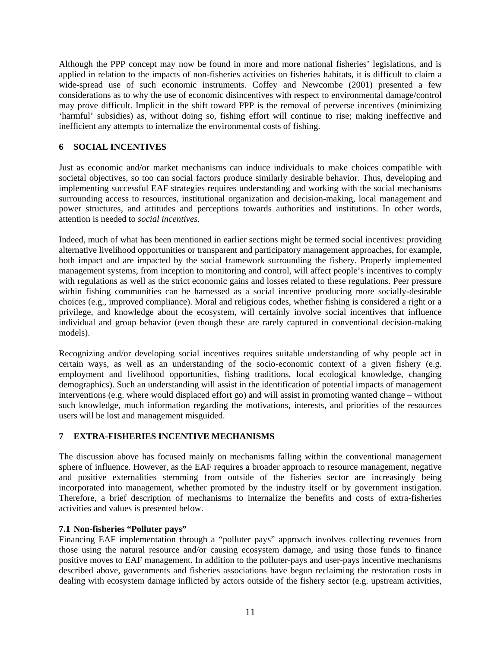Although the PPP concept may now be found in more and more national fisheries' legislations, and is applied in relation to the impacts of non-fisheries activities on fisheries habitats, it is difficult to claim a wide-spread use of such economic instruments. Coffey and Newcombe (2001) presented a few considerations as to why the use of economic disincentives with respect to environmental damage/control may prove difficult. Implicit in the shift toward PPP is the removal of perverse incentives (minimizing 'harmful' subsidies) as, without doing so, fishing effort will continue to rise; making ineffective and inefficient any attempts to internalize the environmental costs of fishing.

# **6 SOCIAL INCENTIVES**

Just as economic and/or market mechanisms can induce individuals to make choices compatible with societal objectives, so too can social factors produce similarly desirable behavior. Thus, developing and implementing successful EAF strategies requires understanding and working with the social mechanisms surrounding access to resources, institutional organization and decision-making, local management and power structures, and attitudes and perceptions towards authorities and institutions. In other words, attention is needed to *social incentives*.

Indeed, much of what has been mentioned in earlier sections might be termed social incentives: providing alternative livelihood opportunities or transparent and participatory management approaches, for example, both impact and are impacted by the social framework surrounding the fishery. Properly implemented management systems, from inception to monitoring and control, will affect people's incentives to comply with regulations as well as the strict economic gains and losses related to these regulations. Peer pressure within fishing communities can be harnessed as a social incentive producing more socially-desirable choices (e.g., improved compliance). Moral and religious codes, whether fishing is considered a right or a privilege, and knowledge about the ecosystem, will certainly involve social incentives that influence individual and group behavior (even though these are rarely captured in conventional decision-making models).

Recognizing and/or developing social incentives requires suitable understanding of why people act in certain ways, as well as an understanding of the socio-economic context of a given fishery (e.g. employment and livelihood opportunities, fishing traditions, local ecological knowledge, changing demographics). Such an understanding will assist in the identification of potential impacts of management interventions (e.g. where would displaced effort go) and will assist in promoting wanted change – without such knowledge, much information regarding the motivations, interests, and priorities of the resources users will be lost and management misguided.

# **7 EXTRA-FISHERIES INCENTIVE MECHANISMS**

The discussion above has focused mainly on mechanisms falling within the conventional management sphere of influence. However, as the EAF requires a broader approach to resource management, negative and positive externalities stemming from outside of the fisheries sector are increasingly being incorporated into management, whether promoted by the industry itself or by government instigation. Therefore, a brief description of mechanisms to internalize the benefits and costs of extra-fisheries activities and values is presented below.

## **7.1 Non-fisheries "Polluter pays"**

Financing EAF implementation through a "polluter pays" approach involves collecting revenues from those using the natural resource and/or causing ecosystem damage, and using those funds to finance positive moves to EAF management. In addition to the polluter-pays and user-pays incentive mechanisms described above, governments and fisheries associations have begun reclaiming the restoration costs in dealing with ecosystem damage inflicted by actors outside of the fishery sector (e.g. upstream activities,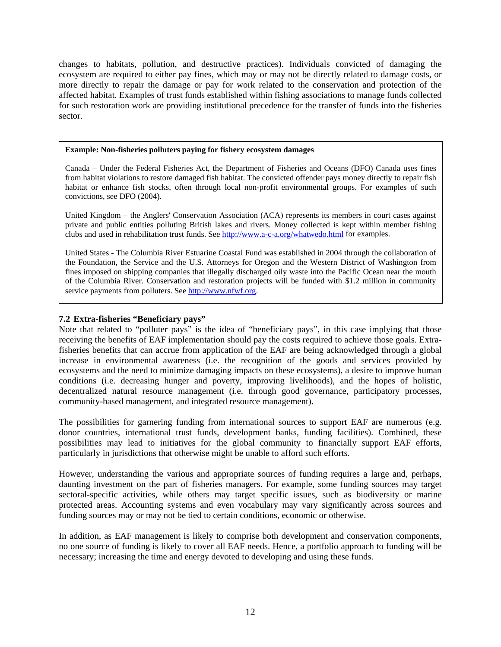changes to habitats, pollution, and destructive practices). Individuals convicted of damaging the ecosystem are required to either pay fines, which may or may not be directly related to damage costs, or more directly to repair the damage or pay for work related to the conservation and protection of the affected habitat. Examples of trust funds established within fishing associations to manage funds collected for such restoration work are providing institutional precedence for the transfer of funds into the fisheries sector.

#### **Example: Non-fisheries polluters paying for fishery ecosystem damages**

Canada – Under the Federal Fisheries Act, the Department of Fisheries and Oceans (DFO) Canada uses fines from habitat violations to restore damaged fish habitat. The convicted offender pays money directly to repair fish habitat or enhance fish stocks, often through local non-profit environmental groups. For examples of such convictions, see DFO (2004).

United Kingdom – the Anglers' Conservation Association (ACA) represents its members in court cases against private and public entities polluting British lakes and rivers. Money collected is kept within member fishing clubs and used in rehabilitation trust funds. See <http://www.a-c-a.org/whatwedo.html> for examples.

United States - The Columbia River Estuarine Coastal Fund was established in 2004 through the collaboration of the Foundation, the Service and the U.S. Attorneys for Oregon and the Western District of Washington from fines imposed on shipping companies that illegally discharged oily waste into the Pacific Ocean near the mouth of the Columbia River. Conservation and restoration projects will be funded with \$1.2 million in community service payments from polluters. See [http://www.nfwf.org.](http://www.nfwf.org/)

#### **7.2 Extra-fisheries "Beneficiary pays"**

Note that related to "polluter pays" is the idea of "beneficiary pays", in this case implying that those receiving the benefits of EAF implementation should pay the costs required to achieve those goals. Extrafisheries benefits that can accrue from application of the EAF are being acknowledged through a global increase in environmental awareness (i.e. the recognition of the goods and services provided by ecosystems and the need to minimize damaging impacts on these ecosystems), a desire to improve human conditions (i.e. decreasing hunger and poverty, improving livelihoods), and the hopes of holistic, decentralized natural resource management (i.e. through good governance, participatory processes, community-based management, and integrated resource management).

The possibilities for garnering funding from international sources to support EAF are numerous (e.g. donor countries, international trust funds, development banks, funding facilities). Combined, these possibilities may lead to initiatives for the global community to financially support EAF efforts, particularly in jurisdictions that otherwise might be unable to afford such efforts.

However, understanding the various and appropriate sources of funding requires a large and, perhaps, daunting investment on the part of fisheries managers. For example, some funding sources may target sectoral-specific activities, while others may target specific issues, such as biodiversity or marine protected areas. Accounting systems and even vocabulary may vary significantly across sources and funding sources may or may not be tied to certain conditions, economic or otherwise.

In addition, as EAF management is likely to comprise both development and conservation components, no one source of funding is likely to cover all EAF needs. Hence, a portfolio approach to funding will be necessary; increasing the time and energy devoted to developing and using these funds.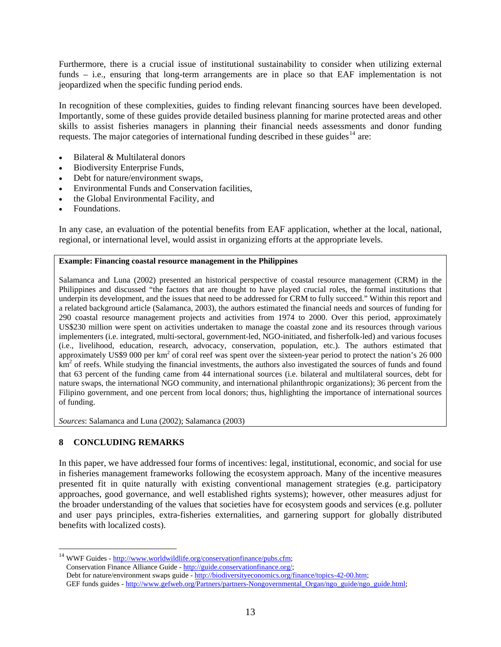Furthermore, there is a crucial issue of institutional sustainability to consider when utilizing external funds – i.e., ensuring that long-term arrangements are in place so that EAF implementation is not jeopardized when the specific funding period ends.

In recognition of these complexities, guides to finding relevant financing sources have been developed. Importantly, some of these guides provide detailed business planning for marine protected areas and other skills to assist fisheries managers in planning their financial needs assessments and donor funding requests. The major categories of international funding described in these guides<sup>[14](#page-12-0)</sup> are:

- Bilateral & Multilateral donors
- Biodiversity Enterprise Funds,
- Debt for nature/environment swaps,
- Environmental Funds and Conservation facilities,
- the Global Environmental Facility, and
- Foundations.

In any case, an evaluation of the potential benefits from EAF application, whether at the local, national, regional, or international level, would assist in organizing efforts at the appropriate levels.

## **Example: Financing coastal resource management in the Philippines**

Salamanca and Luna (2002) presented an historical perspective of coastal resource management (CRM) in the Philippines and discussed "the factors that are thought to have played crucial roles, the formal institutions that underpin its development, and the issues that need to be addressed for CRM to fully succeed." Within this report and a related background article (Salamanca, 2003), the authors estimated the financial needs and sources of funding for 290 coastal resource management projects and activities from 1974 to 2000. Over this period, approximately US\$230 million were spent on activities undertaken to manage the coastal zone and its resources through various implementers (i.e. integrated, multi-sectoral, government-led, NGO-initiated, and fisherfolk-led) and various focuses (i.e., livelihood, education, research, advocacy, conservation, population, etc.). The authors estimated that approximately US\$9 000 per  $km^2$  of coral reef was spent over the sixteen-year period to protect the nation's 26 000  $km<sup>2</sup>$  of reefs. While studying the financial investments, the authors also investigated the sources of funds and found that 63 percent of the funding came from 44 international sources (i.e. bilateral and multilateral sources, debt for nature swaps, the international NGO community, and international philanthropic organizations); 36 percent from the Filipino government, and one percent from local donors; thus, highlighting the importance of international sources of funding.

*Sources*: Salamanca and Luna (2002); Salamanca (2003)

# **8 CONCLUDING REMARKS**

 $\overline{a}$ 

In this paper, we have addressed four forms of incentives: legal, institutional, economic, and social for use in fisheries management frameworks following the ecosystem approach. Many of the incentive measures presented fit in quite naturally with existing conventional management strategies (e.g. participatory approaches, good governance, and well established rights systems); however, other measures adjust for the broader understanding of the values that societies have for ecosystem goods and services (e.g. polluter and user pays principles, extra-fisheries externalities, and garnering support for globally distributed benefits with localized costs).

<span id="page-12-0"></span><sup>&</sup>lt;sup>14</sup> WWF Guides - [http://www.worldwildlife.org/conservationfinance/pubs.cfm;](http://www.worldwildlife.org/conservationfinance/pubs.cfm)

Conservation Finance Alliance Guide -<http://guide.conservationfinance.org/>; Debt for nature/environment swaps guide - [http://biodiversityeconomics.org/finance/topics-42-00.htm;](http://biodiversityeconomics.org/finance/topics-42-00.htm)

GEF funds guides - [http://www.gefweb.org/Partners/partners-Nongovernmental\\_Organ/ngo\\_guide/ngo\\_guide.html;](http://www.gefweb.org/Partners/partners-Nongovernmental_Organ/ngo_guide/ngo_guide.html)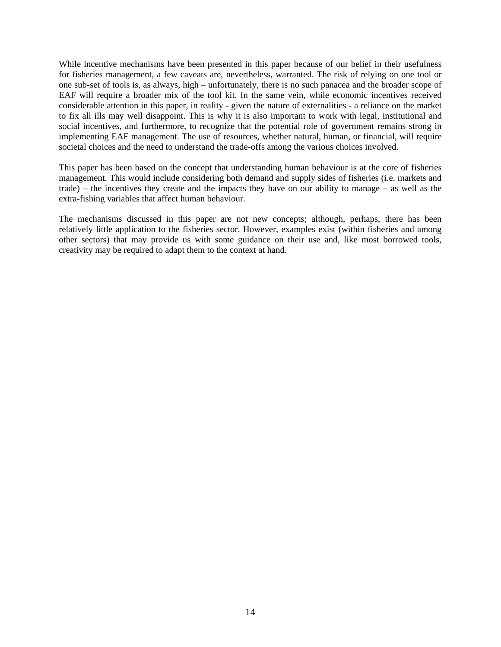While incentive mechanisms have been presented in this paper because of our belief in their usefulness for fisheries management, a few caveats are, nevertheless, warranted. The risk of relying on one tool or one sub-set of tools is, as always, high – unfortunately, there is no such panacea and the broader scope of EAF will require a broader mix of the tool kit. In the same vein, while economic incentives received considerable attention in this paper, in reality - given the nature of externalities - a reliance on the market to fix all ills may well disappoint. This is why it is also important to work with legal, institutional and social incentives, and furthermore, to recognize that the potential role of government remains strong in implementing EAF management. The use of resources, whether natural, human, or financial, will require societal choices and the need to understand the trade-offs among the various choices involved.

This paper has been based on the concept that understanding human behaviour is at the core of fisheries management. This would include considering both demand and supply sides of fisheries (i.e. markets and trade) – the incentives they create and the impacts they have on our ability to manage – as well as the extra-fishing variables that affect human behaviour.

The mechanisms discussed in this paper are not new concepts; although, perhaps, there has been relatively little application to the fisheries sector. However, examples exist (within fisheries and among other sectors) that may provide us with some guidance on their use and, like most borrowed tools, creativity may be required to adapt them to the context at hand.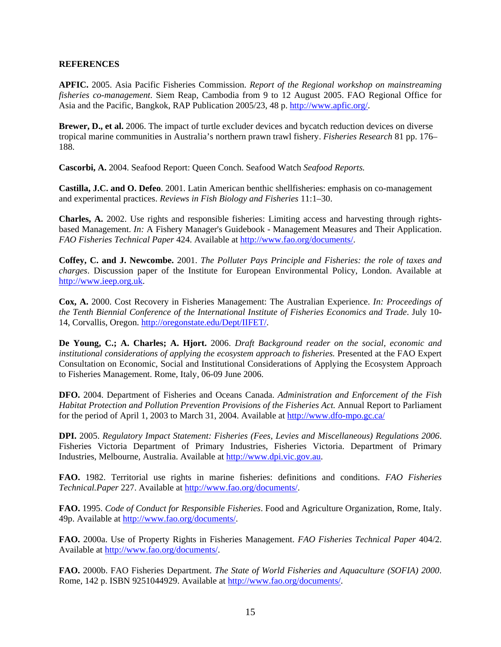### **REFERENCES**

**APFIC.** 2005. Asia Pacific Fisheries Commission. *Report of the Regional workshop on mainstreaming fisheries co-management*. Siem Reap, Cambodia from 9 to 12 August 2005. FAO Regional Office for Asia and the Pacific, Bangkok, RAP Publication 2005/23, 48 p. [http://www.apfic.org/.](http://www.apfic.org/)

**Brewer, D., et al.** 2006. The impact of turtle excluder devices and bycatch reduction devices on diverse tropical marine communities in Australia's northern prawn trawl fishery. *Fisheries Research* 81 pp. 176– 188.

**Cascorbi, A.** 2004. Seafood Report: Queen Conch. Seafood Watch *Seafood Reports.*

**Castilla, J.C. and O. Defeo**. 2001. Latin American benthic shellfisheries: emphasis on co-management and experimental practices. *Reviews in Fish Biology and Fisheries* 11:1–30.

**Charles, A.** 2002. Use rights and responsible fisheries: Limiting access and harvesting through rightsbased Management. *In:* A Fishery Manager's Guidebook - Management Measures and Their Application. *FAO Fisheries Technical Paper* 424. Available at [http://www.fao.org/documents/.](http://www.fao.org/documents/)

**Coffey, C. and J. Newcombe.** 2001. *The Polluter Pays Principle and Fisheries: the role of taxes and charges*. Discussion paper of the Institute for European Environmental Policy, London. Available at [http://www.ieep.org.uk](http://www.ieep.org.uk/).

**Cox, A.** 2000. Cost Recovery in Fisheries Management: The Australian Experience. *In: Proceedings of the Tenth Biennial Conference of the International Institute of Fisheries Economics and Trade*. July 10- 14, Corvallis, Oregon. [http://oregonstate.edu/Dept/IIFET/.](http://oregonstate.edu/Dept/IIFET/)

**De Young, C.; A. Charles; A. Hjort.** 2006. *Draft Background reader on the social, economic and institutional considerations of applying the ecosystem approach to fisheries.* Presented at the FAO Expert Consultation on Economic, Social and Institutional Considerations of Applying the Ecosystem Approach to Fisheries Management. Rome, Italy, 06-09 June 2006.

**DFO.** 2004. Department of Fisheries and Oceans Canada. *Administration and Enforcement of the Fish Habitat Protection and Pollution Prevention Provisions of the Fisheries Act.* Annual Report to Parliament for the period of April 1, 2003 to March 31, 2004. Available at<http://www.dfo-mpo.gc.ca/>

**DPI.** 2005. *Regulatory Impact Statement: Fisheries (Fees, Levies and Miscellaneous) Regulations 2006*. Fisheries Victoria Department of Primary Industries, Fisheries Victoria. Department of Primary Industries, Melbourne, Australia. Available at [http://www.dpi.vic.gov.au](http://www.dpi.vic.gov.au/).

**FAO.** 1982. Territorial use rights in marine fisheries: definitions and conditions. *FAO Fisheries Technical.Paper* 227. Available at [http://www.fao.org/documents/.](http://www.fao.org/documents/)

**FAO.** 1995. *Code of Conduct for Responsible Fisheries*. Food and Agriculture Organization, Rome, Italy. 49p. Available at<http://www.fao.org/documents/>.

**FAO.** 2000a. Use of Property Rights in Fisheries Management. *FAO Fisheries Technical Paper* 404/2. Available at<http://www.fao.org/documents/>.

**FAO.** 2000b. FAO Fisheries Department. *The State of World Fisheries and Aquaculture (SOFIA) 2000*. Rome, 142 p. ISBN 9251044929. Available at [http://www.fao.org/documents/.](http://www.fao.org/documents/)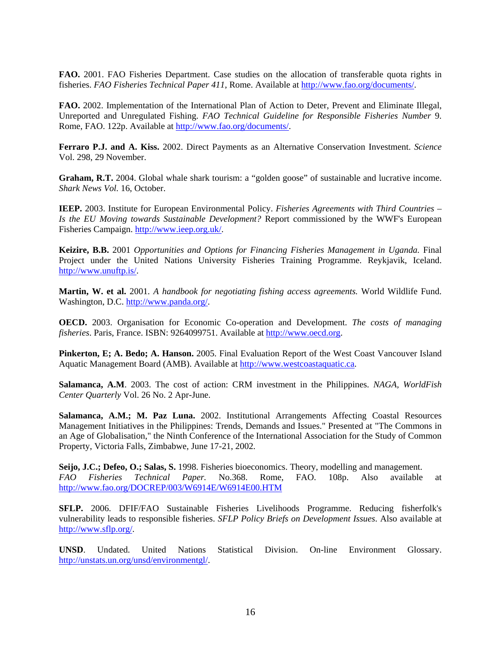**FAO.** 2001. FAO Fisheries Department. Case studies on the allocation of transferable quota rights in fisheries. *FAO Fisheries Technical Paper 411*, Rome. Available at<http://www.fao.org/documents/>.

**FAO.** 2002. Implementation of the International Plan of Action to Deter, Prevent and Eliminate Illegal, Unreported and Unregulated Fishing. *FAO Technical Guideline for Responsible Fisheries Number* 9. Rome, FAO. 122p. Available at<http://www.fao.org/documents/>.

**Ferraro P.J. and A. Kiss.** 2002. Direct Payments as an Alternative Conservation Investment. *Science* Vol. 298, 29 November.

**Graham, R.T.** 2004. Global whale shark tourism: a "golden goose" of sustainable and lucrative income. *Shark News Vol.* 16, October.

**IEEP.** 2003. Institute for European Environmental Policy. *Fisheries Agreements with Third Countries – Is the EU Moving towards Sustainable Development?* Report commissioned by the WWF's European Fisheries Campaign. [http://www.ieep.org.uk/.](http://www.ieep.org.uk/)

**Keizire, B.B.** 2001 *Opportunities and Options for Financing Fisheries Management in Uganda.* Final Project under the United Nations University Fisheries Training Programme. Reykjavik, Iceland. [http://www.unuftp.is/.](http://www.unuftp.is/)

**Martin, W. et al.** 2001. *A handbook for negotiating fishing access agreements.* World Wildlife Fund. Washington, D.C. [http://www.panda.org/.](http://www.panda.org/)

**OECD.** 2003. Organisation for Economic Co-operation and Development. *The costs of managing fisheries*. Paris, France. ISBN: 9264099751. Available at [http://www.oecd.org](http://www.oecd.org/).

**Pinkerton, E; A. Bedo; A. Hanson.** 2005. Final Evaluation Report of the West Coast Vancouver Island Aquatic Management Board (AMB). Available at [http://www.westcoastaquatic.ca](http://www.westcoastaquatic.ca/).

**Salamanca, A.M**. 2003. The cost of action: CRM investment in the Philippines. *NAGA, WorldFish Center Quarterly* Vol. 26 No. 2 Apr-June.

**Salamanca, A.M.; M. Paz Luna.** 2002. Institutional Arrangements Affecting Coastal Resources Management Initiatives in the Philippines: Trends, Demands and Issues." Presented at "The Commons in an Age of Globalisation," the Ninth Conference of the International Association for the Study of Common Property, Victoria Falls, Zimbabwe, June 17-21, 2002.

**Seijo, J.C.; Defeo, O.; Salas, S.** 1998. Fisheries bioeconomics. Theory, modelling and management. *FAO Fisheries Technical Paper.* No.368. Rome, FAO. 108p. Also available at <http://www.fao.org/DOCREP/003/W6914E/W6914E00.HTM>

**SFLP.** 2006. DFIF/FAO Sustainable Fisheries Livelihoods Programme. Reducing fisherfolk's vulnerability leads to responsible fisheries. *SFLP Policy Briefs on Development Issues*. Also available at [http://www.sflp.org/.](http://www.sflp.org/)

**UNSD**. Undated. United Nations Statistical Division. On-line Environment Glossary. <http://unstats.un.org/unsd/environmentgl/>.